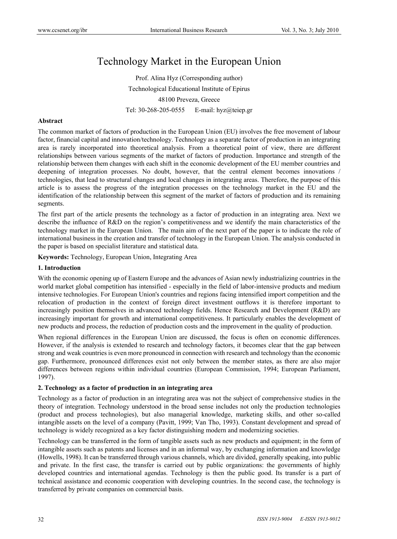# Technology Market in the European Union

Prof. Alina Hyz (Corresponding author) Technological Educational Institute of Epirus 48100 Preveza, Greece Tel: 30-268-205-0555 E-mail: hyz@teiep.gr

#### **Abstract**

The common market of factors of production in the European Union (EU) involves the free movement of labour factor, financial capital and innovation/technology. Technology as a separate factor of production in an integrating area is rarely incorporated into theoretical analysis. From a theoretical point of view, there are different relationships between various segments of the market of factors of production. Importance and strength of the relationship between them changes with each shift in the economic development of the EU member countries and deepening of integration processes. No doubt, however, that the central element becomes innovations / technologies, that lead to structural changes and local changes in integrating areas. Therefore, the purpose of this article is to assess the progress of the integration processes on the technology market in the EU and the identification of the relationship between this segment of the market of factors of production and its remaining segments.

The first part of the article presents the technology as a factor of production in an integrating area. Next we describe the influence of R&D on the region's competitiveness and we identify the main characteristics of the technology market in the European Union. The main aim of the next part of the paper is to indicate the role of international business in the creation and transfer of technology in the European Union. The analysis conducted in the paper is based on specialist literature and statistical data.

**Keywords:** Technology, European Union, Integrating Area

## **1. Introduction**

With the economic opening up of Eastern Europe and the advances of Asian newly industrializing countries in the world market global competition has intensified - especially in the field of labor-intensive products and medium intensive technologies. For European Union's countries and regions facing intensified import competition and the relocation of production in the context of foreign direct investment outflows it is therefore important to increasingly position themselves in advanced technology fields. Hence Research and Development (R&D) are increasingly important for growth and international competitiveness. It particularly enables the development of new products and process, the reduction of production costs and the improvement in the quality of production.

When regional differences in the European Union are discussed, the focus is often on economic differences. However, if the analysis is extended to research and technology factors, it becomes clear that the gap between strong and weak countries is even more pronounced in connection with research and technology than the economic gap. Furthermore, pronounced differences exist not only between the member states, as there are also major differences between regions within individual countries (European Commission, 1994; European Parliament, 1997).

## **2. Technology as a factor of production in an integrating area**

Technology as a factor of production in an integrating area was not the subject of comprehensive studies in the theory of integration. Technology understood in the broad sense includes not only the production technologies (product and process technologies), but also managerial knowledge, marketing skills, and other so-called intangible assets on the level of a company (Pavitt, 1999; Van Tho, 1993). Constant development and spread of technology is widely recognized as a key factor distinguishing modern and modernizing societies.

Technology can be transferred in the form of tangible assets such as new products and equipment; in the form of intangible assets such as patents and licenses and in an informal way, by exchanging information and knowledge (Howells, 1998). It can be transferred through various channels, which are divided, generally speaking, into public and private. In the first case, the transfer is carried out by public organizations: the governments of highly developed countries and international agendas. Technology is then the public good. Its transfer is a part of technical assistance and economic cooperation with developing countries. In the second case, the technology is transferred by private companies on commercial basis.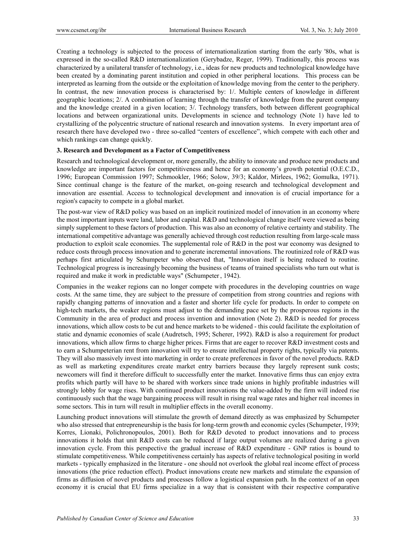Creating a technology is subjected to the process of internationalization starting from the early '80s, what is expressed in the so-called R&D internationalization (Gerybadze, Reger, 1999). Traditionally, this process was characterized by a unilateral transfer of technology, i.e., ideas for new products and technological knowledge have been created by a dominating parent institution and copied in other peripheral locations. This process can be interpreted as learning from the outside or the exploitation of knowledge moving from the center to the periphery. In contrast, the new innovation process is characterised by: 1/. Multiple centers of knowledge in different geographic locations; 2/. A combination of learning through the transfer of knowledge from the parent company and the knowledge created in a given location; 3/. Technology transfers, both between different geographical locations and between organizational units. Developments in science and technology (Note 1) have led to crystallizing of the polycentric structure of national research and innovation systems. In every important area of research there have developed two - three so-called "centers of excellence", which compete with each other and which rankings can change quickly.

## **3. Research and Development as a Factor of Competitiveness**

Research and technological development or, more generally, the ability to innovate and produce new products and knowledge are important factors for competitiveness and hence for an economy's growth potential (O.E.C.D., 1996; European Commission 1997; Schmookler, 1966; Solow, 39/3; Kaldor, Mirlees, 1962; Gomulka, 1971). Since continual change is the feature of the market, on-going research and technological development and innovation are essential. Access to technological development and innovation is of crucial importance for a region's capacity to compete in a global market.

The post-war view of R&D policy was based on an implicit routinized model of innovation in an economy where the most important inputs were land, labor and capital. R&D and technological change itself were viewed as being simply supplement to these factors of production. This was also an economy of relative certainty and stability. The international competitive advantage was generally achieved through cost reduction resulting from large-scale mass production to exploit scale economies. The supplemental role of R&D in the post war economy was designed to reduce costs through process innovation and to generate incremental innovations. The routinized role of R&D was perhaps first articulated by Schumpeter who observed that, "Innovation itself is being reduced to routine. Technological progress is increasingly becoming the business of teams of trained specialists who turn out what is required and make it work in predictable ways" (Schumpeter , 1942).

Companies in the weaker regions can no longer compete with procedures in the developing countries on wage costs. At the same time, they are subject to the pressure of competition from strong countries and regions with rapidly changing patterns of innovation and a faster and shorter life cycle for products. In order to compete on high-tech markets, the weaker regions must adjust to the demanding pace set by the prosperous regions in the Community in the area of product and process invention and innovation (Note 2). R&D is needed for process innovations, which allow costs to be cut and hence markets to be widened - this could facilitate the exploitation of static and dynamic economies of scale (Audretsch, 1995; Scherer, 1992). R&D is also a requirement for product innovations, which allow firms to charge higher prices. Firms that are eager to recover R&D investment costs and to earn a Schumpeterian rent from innovation will try to ensure intellectual property rights, typically via patents. They will also massively invest into marketing in order to create preferences in favor of the novel products. R&D as well as marketing expenditures create market entry barriers because they largely represent sunk costs; newcomers will find it therefore difficult to successfully enter the market. Innovative firms thus can enjoy extra profits which partly will have to be shared with workers since trade unions in highly profitable industries will strongly lobby for wage rises. With continued product innovations the value-added by the firm will indeed rise continuously such that the wage bargaining process will result in rising real wage rates and higher real incomes in some sectors. This in turn will result in multiplier effects in the overall economy.

Launching product innovations will stimulate the growth of demand directly as was emphasized by Schumpeter who also stressed that entrepreneurship is the basis for long-term growth and economic cycles (Schumpeter, 1939; Korres, Lionaki, Polichronopoulos, 2001). Both for R&D devoted to product innovations and to process innovations it holds that unit R&D costs can be reduced if large output volumes are realized during a given innovation cycle. From this perspective the gradual increase of R&D expenditure - GNP ratios is bound to stimulate competitiveness. While competitiveness certainly has aspects of relative technological positing in world markets - typically emphasized in the literature - one should not overlook the global real income effect of process innovations (the price reduction effect). Product innovations create new markets and stimulate the expansion of firms as diffusion of novel products and processes follow a logistical expansion path. In the context of an open economy it is crucial that EU firms specialize in a way that is consistent with their respective comparative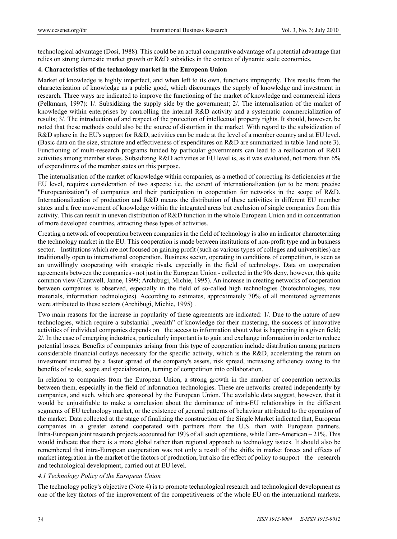technological advantage (Dosi, 1988). This could be an actual comparative advantage of a potential advantage that relies on strong domestic market growth or R&D subsidies in the context of dynamic scale economies.

# **4. Characteristics of the technology market in the European Union**

Market of knowledge is highly imperfect, and when left to its own, functions improperly. This results from the characterization of knowledge as a public good, which discourages the supply of knowledge and investment in research. Three ways are indicated to improve the functioning of the market of knowledge and commercial ideas (Pelkmans, 1997): 1/. Subsidizing the supply side by the government; 2/. The internalisation of the market of knowledge within enterprises by controlling the internal R&D activity and a systematic commercialization of results; 3/. The introduction of and respect of the protection of intellectual property rights. It should, however, be noted that these methods could also be the source of distortion in the market. With regard to the subsidization of R&D sphere in the EU's support for R&D, activities can be made at the level of a member country and at EU level. (Basic data on the size, structure and effectiveness of expenditures on R&D are summarized in table 1and note 3). Functioning of multi-research programs funded by particular governments can lead to a reallocation of R&D activities among member states. Subsidizing R&D activities at EU level is, as it was evaluated, not more than 6% of expenditures of the member states on this purpose.

The internalisation of the market of knowledge within companies, as a method of correcting its deficiencies at the EU level, requires consideration of two aspects: i.e. the extent of internationalization (or to be more precise "Europeanization") of companies and their participation in cooperation for networks in the scope of R&D. Internationalization of production and R&D means the distribution of these activities in different EU member states and a free movement of knowledge within the integrated areas but exclusion of single companies from this activity. This can result in uneven distribution of R&D function in the whole European Union and in concentration of more developed countries, attracting these types of activities.

Creating a network of cooperation between companies in the field of technology is also an indicator characterizing the technology market in the EU. This cooperation is made between institutions of non-profit type and in business sector. Institutions which are not focused on gaining profit (such as various types of colleges and universities) are traditionally open to international cooperation. Business sector, operating in conditions of competition, is seen as an unwillingly cooperating with strategic rivals, especially in the field of technology. Data on cooperation agreements between the companies - not just in the European Union - collected in the 90s deny, however, this quite common view (Cantwell, Janne, 1999; Archibugi, Michie, 1995). An increase in creating networks of cooperation between companies is observed, especially in the field of so-called high technologies (biotechnologies, new materials, information technologies). According to estimates, approximately 70% of all monitored agreements were attributed to these sectors (Archibugi, Michie, 1995) .

Two main reasons for the increase in popularity of these agreements are indicated: 1/. Due to the nature of new technologies, which require a substantial "wealth" of knowledge for their mastering, the success of innovative activities of individual companies depends on the access to information about what is happening in a given field; 2/. In the case of emerging industries, particularly important is to gain and exchange information in order to reduce potential losses. Benefits of companies arising from this type of cooperation include distribution among partners considerable financial outlays necessary for the specific activity, which is the R&D, accelerating the return on investment incurred by a faster spread of the company's assets, risk spread, increasing efficiency owing to the benefits of scale, scope and specialization, turning of competition into collaboration.

In relation to companies from the European Union, a strong growth in the number of cooperation networks between them, especially in the field of information technologies. These are networks created independently by companies, and such, which are sponsored by the European Union. The available data suggest, however, that it would be unjustifiable to make a conclusion about the dominance of intra-EU relationships in the different segments of EU technology market, or the existence of general patterns of behaviour attributed to the operation of the market. Data collected at the stage of finalizing the construction of the Single Market indicated that, European companies in a greater extend cooperated with partners from the U.S. than with European partners. Intra-European joint research projects accounted for 19% of all such operations, while Euro-American – 21%. This would indicate that there is a more global rather than regional approach to technology issues. It should also be remembered that intra-European cooperation was not only a result of the shifts in market forces and effects of market integration in the market of the factors of production, but also the effect of policy to support the research and technological development, carried out at EU level.

## *4.1 Technology Policy of the European Union*

The technology policy's objective (Note 4) is to promote technological research and technological development as one of the key factors of the improvement of the competitiveness of the whole EU on the international markets.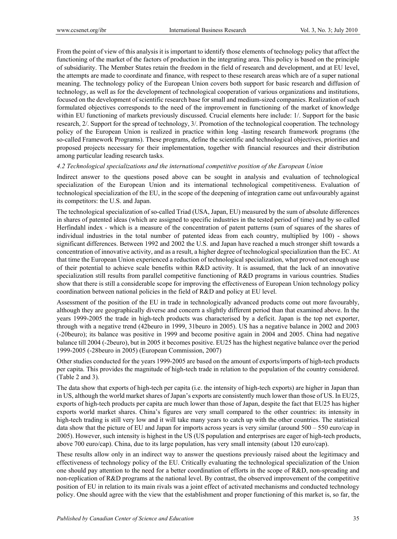From the point of view of this analysis it is important to identify those elements of technology policy that affect the functioning of the market of the factors of production in the integrating area. This policy is based on the principle of subsidiarity. The Member States retain the freedom in the field of research and development, and at EU level, the attempts are made to coordinate and finance, with respect to these research areas which are of a super national meaning. The technology policy of the European Union covers both support for basic research and diffusion of technology, as well as for the development of technological cooperation of various organizations and institutions, focused on the development of scientific research base for small and medium-sized companies. Realization of such formulated objectives corresponds to the need of the improvement in functioning of the market of knowledge within EU functioning of markets previously discussed. Crucial elements here include: 1/. Support for the basic research, 2/. Support for the spread of technology, 3/. Promotion of the technological cooperation. The technology policy of the European Union is realized in practice within long -lasting research framework programs (the so-called Framework Programs). These programs, define the scientific and technological objectives, priorities and proposed projects necessary for their implementation, together with financial resources and their distribution among particular leading research tasks.

## *4.2 Technological specializations and the international competitive position of the European Union*

Indirect answer to the questions posed above can be sought in analysis and evaluation of technological specialization of the European Union and its international technological competitiveness. Evaluation of technological specialization of the EU, in the scope of the deepening of integration came out unfavourably against its competitors: the U.S. and Japan.

The technological specialization of so-called Triad (USA, Japan, EU) measured by the sum of absolute differences in shares of patented ideas (which are assigned to specific industries in the tested period of time) and by so called Herfindahl index - which is a measure of the concentration of patent patterns (sum of squares of the shares of individual industries in the total number of patented ideas from each country, multiplied by 100) - shows significant differences. Between 1992 and 2002 the U.S. and Japan have reached a much stronger shift towards a concentration of innovative activity, and as a result, a higher degree of technological specialization than the EC. At that time the European Union experienced a reduction of technological specialization, what proved not enough use of their potential to achieve scale benefits within R&D activity. It is assumed, that the lack of an innovative specialization still results from parallel competitive functioning of R&D programs in various countries. Studies show that there is still a considerable scope for improving the effectiveness of European Union technology policy coordination between national policies in the field of R&D and policy at EU level.

Assessment of the position of the EU in trade in technologically advanced products come out more favourably, although they are geographically diverse and concern a slightly different period than that examined above. In the years 1999-2005 the trade in high-tech products was characterised by a deficit. Japan is the top net exporter, through with a negative trend (42beuro in 1999, 31beuro in 2005). US has a negative balance in 2002 and 2003 (-20beuro); its balance was positive in 1999 and become positive again in 2004 and 2005. China had negative balance till 2004 (-2beuro), but in 2005 it becomes positive. EU25 has the highest negative balance over the period 1999-2005 (-28beuro in 2005) (European Commission, 2007)

Other studies conducted for the years 1999-2005 are based on the amount of exports/imports of high-tech products per capita. This provides the magnitude of high-tech trade in relation to the population of the country considered. (Table 2 and 3).

The data show that exports of high-tech per capita (i.e. the intensity of high-tech exports) are higher in Japan than in US, although the world market shares of Japan's exports are consistently much lower than those of US. In EU25, exports of high-tech products per capita are much lower than those of Japan, despite the fact that EU25 has higher exports world market shares. China's figures are very small compared to the other countries: its intensity in high-tech trading is still very low and it will take many years to catch up with the other countries. The statistical data show that the picture of EU and Japan for imports across years is very similar (around 500 – 550 euro/cap in 2005). However, such intensity is highest in the US (US population and enterprises are eager of high-tech products, above 700 euro/cap). China, due to its large population, has very small intensity (about 120 euro/cap).

These results allow only in an indirect way to answer the questions previously raised about the legitimacy and effectiveness of technology policy of the EU. Critically evaluating the technological specialization of the Union one should pay attention to the need for a better coordination of efforts in the scope of R&D, non-spreading and non-replication of R&D programs at the national level. By contrast, the observed improvement of the competitive position of EU in relation to its main rivals was a joint effect of activated mechanisms and conducted technology policy. One should agree with the view that the establishment and proper functioning of this market is, so far, the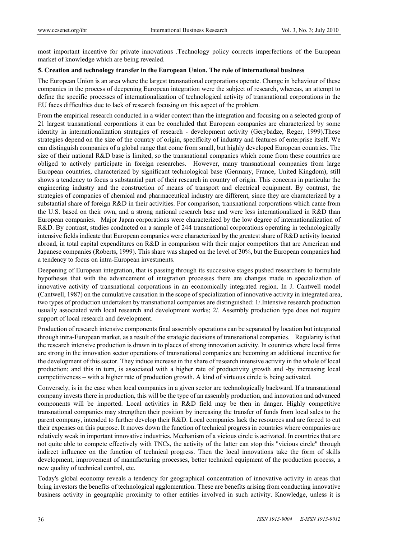most important incentive for private innovations .Technology policy corrects imperfections of the European market of knowledge which are being revealed.

#### **5. Creation and technology transfer in the European Union. The role of international business**

The European Union is an area where the largest transnational corporations operate. Change in behaviour of these companies in the process of deepening European integration were the subject of research, whereas, an attempt to define the specific processes of internationalization of technological activity of transnational corporations in the EU faces difficulties due to lack of research focusing on this aspect of the problem.

From the empirical research conducted in a wider context than the integration and focusing on a selected group of 21 largest transnational corporations it can be concluded that European companies are characterized by some identity in internationalization strategies of research - development activity (Gerybadze, Reger, 1999).These strategies depend on the size of the country of origin, specificity of industry and features of enterprise itself. We can distinguish companies of a global range that come from small, but highly developed European countries. The size of their national R&D base is limited, so the transnational companies which come from these countries are obliged to actively participate in foreign researches. However, many transnational companies from large European countries, characterized by significant technological base (Germany, France, United Kingdom), still shows a tendency to focus a substantial part of their research in country of origin. This concerns in particular the engineering industry and the construction of means of transport and electrical equipment. By contrast, the strategies of companies of chemical and pharmaceutical industry are different, since they are characterized by a substantial share of foreign R&D in their activities. For comparison, transnational corporations which came from the U.S. based on their own, and a strong national research base and were less internationalized in R&D than European companies. Major Japan corporations were characterized by the low degree of internationalization of R&D. By contrast, studies conducted on a sample of 244 transnational corporations operating in technologically intensive fields indicate that European companies were characterized by the greatest share of R&D activity located abroad, in total capital expenditures on R&D in comparison with their major competitors that are American and Japanese companies (Roberts, 1999). This share was shaped on the level of 30%, but the European companies had a tendency to focus on intra-European investments.

Deepening of European integration, that is passing through its successive stages pushed researchers to formulate hypotheses that with the advancement of integration processes there are changes made in specialization of innovative activity of transnational corporations in an economically integrated region. In J. Cantwell model (Cantwell, 1987) on the cumulative causation in the scope of specialization of innovative activity in integrated area, two types of production undertaken by transnational companies are distinguished: 1/.Intensive research production usually associated with local research and development works; 2/. Assembly production type does not require support of local research and development.

Production of research intensive components final assembly operations can be separated by location but integrated through intra-European market, as a result of the strategic decisions of transnational companies. Regularity is that the research intensive production is drawn in to places of strong innovation activity. In countries where local firms are strong in the innovation sector operations of transnational companies are becoming an additional incentive for the development of this sector. They induce increase in the share of research intensive activity in the whole of local production; and this in turn, is associated with a higher rate of productivity growth and -by increasing local competitiveness – with a higher rate of production growth. A kind of virtuous circle is being activated.

Conversely, is in the case when local companies in a given sector are technologically backward. If a transnational company invests there in production, this will be the type of an assembly production, and innovation and advanced components will be imported. Local activities in R&D field may be then in danger. Highly competitive transnational companies may strengthen their position by increasing the transfer of funds from local sales to the parent company, intended to further develop their R&D. Local companies lack the resources and are forced to cut their expenses on this purpose. It moves down the function of technical progress in countries where companies are relatively weak in important innovative industries. Mechanism of a vicious circle is activated. In countries that are not quite able to compete effectively with TNCs, the activity of the latter can stop this "vicious circle" through indirect influence on the function of technical progress. Then the local innovations take the form of skills development, improvement of manufacturing processes, better technical equipment of the production process, a new quality of technical control, etc.

Today's global economy reveals a tendency for geographical concentration of innovative activity in areas that bring investors the benefits of technological agglomeration. These are benefits arising from conducting innovative business activity in geographic proximity to other entities involved in such activity. Knowledge, unless it is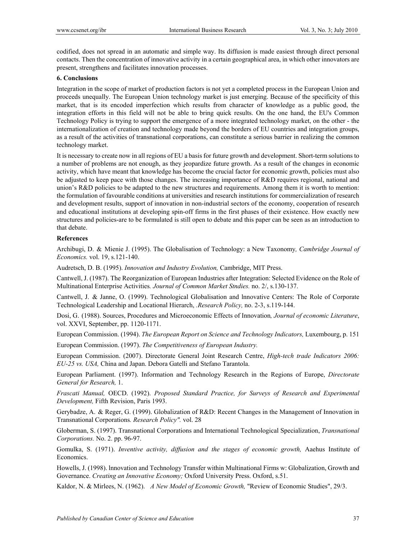codified, does not spread in an automatic and simple way. Its diffusion is made easiest through direct personal contacts. Then the concentration of innovative activity in a certain geographical area, in which other innovators are present, strengthens and facilitates innovation processes.

#### **6. Conclusions**

Integration in the scope of market of production factors is not yet a completed process in the European Union and proceeds unequally. The European Union technology market is just emerging. Because of the specificity of this market, that is its encoded imperfection which results from character of knowledge as a public good, the integration efforts in this field will not be able to bring quick results. On the one hand, the EU's Common Technology Policy is trying to support the emergence of a more integrated technology market, on the other - the internationalization of creation and technology made beyond the borders of EU countries and integration groups, as a result of the activities of transnational corporations, can constitute a serious barrier in realizing the common technology market.

It is necessary to create now in all regions of EU a basis for future growth and development. Short-term solutions to a number of problems are not enough, as they jeopardize future growth. As a result of the changes in economic activity, which have meant that knowledge has become the crucial factor for economic growth, policies must also be adjusted to keep pace with those changes. The increasing importance of R&D requires regional, national and union's R&D policies to be adapted to the new structures and requirements. Among them it is worth to mention: the formulation of favourable conditions at universities and research institutions for commercialization of research and development results, support of innovation in non-industrial sectors of the economy, cooperation of research and educational institutions at developing spin-off firms in the first phases of their existence. How exactly new structures and policies-are to be formulated is still open to debate and this paper can be seen as an introduction to that debate.

#### **References**

Archibugi, D. & Mienie J. (1995). The Globalisation of Technology: a New Taxonomy*, Cambridge Journal of Economics.* vol. 19, s.121-140.

Audretsch, D. B. (1995). *Innovation and Industry Evolution,* Cambridge, MIT Press.

Cantwell, J. (1987). The Reorganization of European Industries after Integration: Selected Evidence on the Role of Multinational Enterprise Activities*. Journal of Common Market Stndies.* no. 2/, s.130-137.

Cantwell, J. & Janne, O. (1999). Technological Globalisation and lnnovative Centers: The Role of Corporate Technological Leadership and Locational Hierarch, *.Research Policy,* no. 2-3, s.119-144.

Dosi, G. (1988). Sources, Procedures and Microeconomic Effects of Innovation*, Journal of economic Literature*, vol. XXVI, September, pp. 1120-1171.

European Commission. (1994). *The European Report on Science and Technology Indicators,* Luxembourg, p. 151

European Commission. (1997). *The Competitiveness of European Industry.* 

European Commission. (2007). Directorate General Joint Research Centre, *High-tech trade Indicators 2006: EU-25 vs. USA,* China and Japan. Debora Gatelli and Stefano Tarantola.

European Parliament. (1997). Information and Technology Research in the Regions of Europe, *Directorate General for Research,* 1.

*Frascati Manual,* OECD. (1992). *Proposed Standard Practice, for Surveys of Research and Experimental Development,* Fifth Revision, Paris 1993.

Gerybadze, A. & Reger, G. (1999). Globalization of R&D: Recent Changes in the Management of Innovation in Transnational Corporations*. Research Policy".* vol. 28

Globerman, S. (1997). Transnational Corporations and International Technological Specialization, *Transnational Corporations.* No. 2. pp. 96-97.

Gomulka, S. (1971). *Inventive activity, diffusion and the stages of economic growth,* Aaehus Institute of Economics.

Howells, J. (1998). lnnovation and Technology Transfer within Multinational Firms w: Globalization, Growth and Governance. *Creating an Innovative Economy;* Oxford University Press. Oxford, s.51.

Kaldor, N. & Mirlees, N. (1962). *A New Model of Economic Growth,* "Review of Economic Studies", 29/3.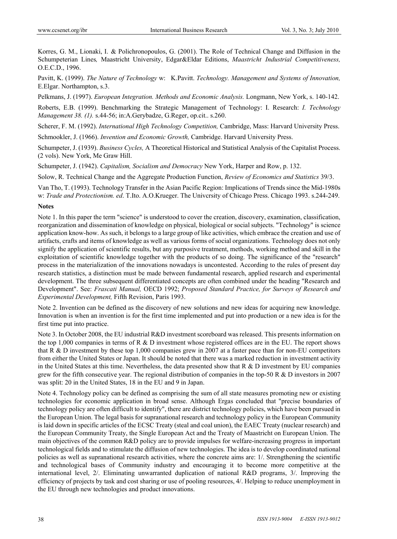Korres, G. M., Lionaki, I. & Polichronopoulos, G. (2001). The Role of Technical Change and Diffusion in the Schumpeterian Lines*,* Maastricht University, Edgar&Eldar Editions, *Maastricht Industrial Competitiveness,*  O.E.C.D., 1996.

Pavitt, K. (1999). *The Nature of Technology* w: K.Pavitt. *Technology. Management and Systems of Innovation,*  E.Elgar. Northampton, s.3.

Pelkmans, J. (1997). *European Integration. Methods and Economic Analysis.* Longmann, New York, s. 140-142.

Roberts, E.B. (1999). Benchmarking the Strategic Management of Technology: I. Research: *I. Technology Management 38. (1).* s.44-56; in:A.Gerybadze, G.Reger, op.cit.. s.260.

Scherer, F. M. (1992). *International High Technology Competition,* Cambridge, Mass: Harvard University Press.

Schmookler, J. (1966). *Invention and Economic Growth,* Cambridge. Harvard University Press.

Schumpeter, J. (1939). *Business Cycles,* A Theoretical Historical and Statistical Analysis of the Capitalist Process. (2 vols). New York, Me Graw Hill.

Schumpeter, J. (1942). *Capitalism, Socialism and Democracy* New York, Harper and Row, p. 132.

Solow, R. Technical Change and the Aggregate Production Function, *Review of Economics and Statistics* 39/3.

Van Tho, T. (1993). Technology Transfer in the Asian Pacific Region: Implications of Trends since the Mid-1980s w: *Trade and Protectionism. ed*. T.Ito. A.O.Krueger. The Univcrsity of Chicago Press. Chicago 1993. s.244-249.

#### **Notes**

Note 1. In this paper the term "science" is understood to cover the creation, discovery, examination, classification, reorganization and dissemination of knowledge on physical, biological or social subjects. "Technology" is science application know-how. As such, it belongs to a large group of like activities, which embrace the creation and use of artifacts, crafts and items of knowledge as well as various forms of social organizations. Technology does not only signify the application of scientific results, but any purposive treatment, methods, working method and skill in the exploitation of scientific knowledge together with the products of so doing. The significance of the "research" process in the materialization of the innovations nowadays is uncontested. According to the rules of present day research statistics, a distinction must be made between fundamental research, applied research and experimental development. The three subsequent differentiated concepts are often combined under the heading "Research and Development". See: *Frascati Manual,* OECD 1992; *Proposed Standard Practice, for Surveys of Research and Experimental Development,* Fifth Revision, Paris 1993.

Note 2. Invention can be defined as the discovery of new solutions and new ideas for acquiring new knowledge. Innovation is when an invention is for the first time implemented and put into production or a new idea is for the first time put into practice.

Note 3. In October 2008, the EU industrial R&D investment scoreboard was released. This presents information on the top 1,000 companies in terms of R & D investment whose registered offices are in the EU. The report shows that R & D investment by these top 1,000 companies grew in 2007 at a faster pace than for non-EU competitors from either the United States or Japan. It should be noted that there was a marked reduction in investment activity in the United States at this time. Nevertheless, the data presented show that  $R \& D$  investment by EU companies grew for the fifth consecutive year. The regional distribution of companies in the top-50 R  $\&$  D investors in 2007 was split: 20 in the United States, 18 in the EU and 9 in Japan.

Note 4. Technology policy can be defined as comprising the sum of all state measures promoting new or existing technologies for economic application in broad sense. Although Ergas concluded that "precise boundaries of technology policy are often difficult to identify", there are district technology policies, which have been pursued in the European Union. The legal basis for supranational research and technology policy in the European Community is laid down in specific articles of the ECSC Treaty (steal and coal union), the EAEC Treaty (nuclear research) and the European Community Treaty, the Single European Act and the Treaty of Maastricht on European Union. The main objectives of the common R&D policy are to provide impulses for welfare-increasing progress in important technological fields and to stimulate the diffusion of new technologies. The idea is to develop coordinated national policies as well as supranational research activities, where the concrete aims are: 1/. Strengthening the scientific and technological bases of Community industry and encouraging it to become more competitive at the international level, 2/. Eliminating unwarranted duplication of national R&D programs, 3/. Improving the efficiency of projects by task and cost sharing or use of pooling resources, 4/. Helping to reduce unemployment in the EU through new technologies and product innovations.